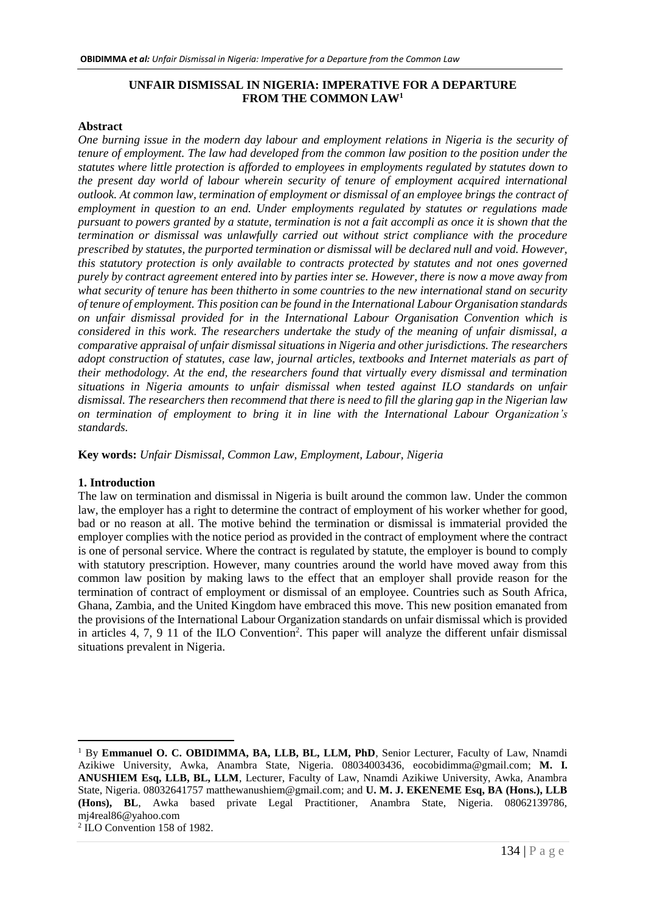# **UNFAIR DISMISSAL IN NIGERIA: IMPERATIVE FOR A DEPARTURE FROM THE COMMON LAW<sup>1</sup>**

#### **Abstract**

*One burning issue in the modern day labour and employment relations in Nigeria is the security of tenure of employment. The law had developed from the common law position to the position under the statutes where little protection is afforded to employees in employments regulated by statutes down to the present day world of labour wherein security of tenure of employment acquired international outlook. At common law, termination of employment or dismissal of an employee brings the contract of employment in question to an end. Under employments regulated by statutes or regulations made pursuant to powers granted by a statute, termination is not a fait accompli as once it is shown that the termination or dismissal was unlawfully carried out without strict compliance with the procedure prescribed by statutes, the purported termination or dismissal will be declared null and void. However, this statutory protection is only available to contracts protected by statutes and not ones governed purely by contract agreement entered into by parties inter se. However, there is now a move away from what security of tenure has been thitherto in some countries to the new international stand on security of tenure of employment. This position can be found in the International Labour Organisation standards on unfair dismissal provided for in the International Labour Organisation Convention which is considered in this work. The researchers undertake the study of the meaning of unfair dismissal, a comparative appraisal of unfair dismissal situations in Nigeria and other jurisdictions. The researchers adopt construction of statutes, case law, journal articles, textbooks and Internet materials as part of their methodology. At the end, the researchers found that virtually every dismissal and termination situations in Nigeria amounts to unfair dismissal when tested against ILO standards on unfair dismissal. The researchers then recommend that there is need to fill the glaring gap in the Nigerian law on termination of employment to bring it in line with the International Labour Organization's standards.*

**Key words:** *Unfair Dismissal, Common Law, Employment, Labour, Nigeria*

### **1. Introduction**

The law on termination and dismissal in Nigeria is built around the common law. Under the common law, the employer has a right to determine the contract of employment of his worker whether for good, bad or no reason at all. The motive behind the termination or dismissal is immaterial provided the employer complies with the notice period as provided in the contract of employment where the contract is one of personal service. Where the contract is regulated by statute, the employer is bound to comply with statutory prescription. However, many countries around the world have moved away from this common law position by making laws to the effect that an employer shall provide reason for the termination of contract of employment or dismissal of an employee. Countries such as South Africa, Ghana, Zambia, and the United Kingdom have embraced this move. This new position emanated from the provisions of the International Labour Organization standards on unfair dismissal which is provided in articles 4, 7, 9 11 of the ILO Convention<sup>2</sup>. This paper will analyze the different unfair dismissal situations prevalent in Nigeria.

<sup>1</sup> By **Emmanuel O. C. OBIDIMMA, BA, LLB, BL, LLM, PhD**, Senior Lecturer, Faculty of Law, Nnamdi Azikiwe University, Awka, Anambra State, Nigeria. 08034003436, [eocobidimma@gmail.com;](mailto:eocobidimma@gmail.com) **M. I. ANUSHIEM Esq, LLB, BL, LLM**, Lecturer, Faculty of Law, Nnamdi Azikiwe University, Awka, Anambra State, Nigeria. 08032641757 [matthewanushiem@gmail.com;](mailto:matthewanushiem@gmail.com) and **U. M. J. EKENEME Esq, BA (Hons.), LLB (Hons), BL**, Awka based private Legal Practitioner, Anambra State, Nigeria. 08062139786, mj4real86@yahoo.com

<sup>2</sup> ILO Convention 158 of 1982.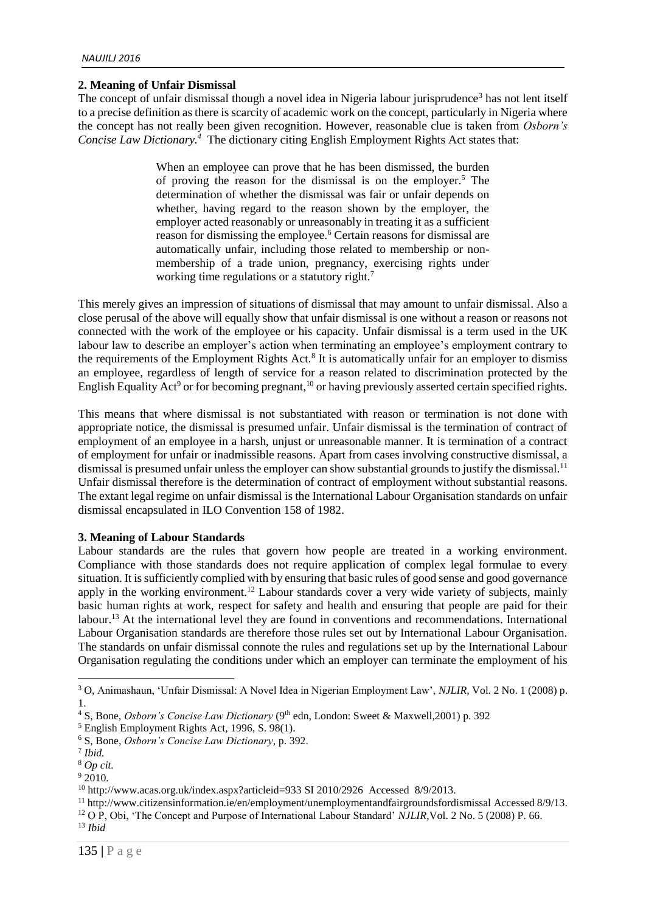### **2. Meaning of Unfair Dismissal**

The concept of unfair dismissal though a novel idea in Nigeria labour jurisprudence<sup>3</sup> has not lent itself to a precise definition as there is scarcity of academic work on the concept, particularly in Nigeria where the concept has not really been given recognition. However, reasonable clue is taken from *Osborn's Concise Law Dictionary.<sup>4</sup>* The dictionary citing English Employment Rights Act states that:

> When an employee can prove that he has been dismissed, the burden of proving the reason for the dismissal is on the employer.<sup>5</sup> The determination of whether the dismissal was fair or unfair depends on whether, having regard to the reason shown by the employer, the employer acted reasonably or unreasonably in treating it as a sufficient reason for dismissing the employee.<sup>6</sup> Certain reasons for dismissal are automatically unfair, including those related to membership or nonmembership of a trade union, pregnancy, exercising rights under working time regulations or a statutory right.<sup>7</sup>

This merely gives an impression of situations of dismissal that may amount to unfair dismissal. Also a close perusal of the above will equally show that unfair dismissal is one without a reason or reasons not connected with the work of the employee or his capacity. Unfair dismissal is a term used in the UK labour law to describe an employer's action when terminating an employee's employment contrary to the requirements of the Employment Rights Act*.* 8 It is automatically unfair for an employer to dismiss an employee, regardless of length of service for a reason related to discrimination protected by the English Equality Act<sup>9</sup> or for becoming pregnant,<sup>10</sup> or having previously asserted certain specified rights.

This means that where dismissal is not substantiated with reason or termination is not done with appropriate notice, the dismissal is presumed unfair. Unfair dismissal is the termination of contract of employment of an employee in a harsh, unjust or unreasonable manner. It is termination of a contract of employment for unfair or inadmissible reasons. Apart from cases involving constructive dismissal, a dismissal is presumed unfair unless the employer can show substantial grounds to justify the dismissal.<sup>11</sup> Unfair dismissal therefore is the determination of contract of employment without substantial reasons. The extant legal regime on unfair dismissal is the International Labour Organisation standards on unfair dismissal encapsulated in ILO Convention 158 of 1982.

### **3. Meaning of Labour Standards**

Labour standards are the rules that govern how people are treated in a working environment. Compliance with those standards does not require application of complex legal formulae to every situation. It is sufficiently complied with by ensuring that basic rules of good sense and good governance apply in the working environment.<sup>12</sup> Labour standards cover a very wide variety of subjects, mainly basic human rights at work, respect for safety and health and ensuring that people are paid for their labour.<sup>13</sup> At the international level they are found in conventions and recommendations. International Labour Organisation standards are therefore those rules set out by International Labour Organisation. The standards on unfair dismissal connote the rules and regulations set up by the International Labour Organisation regulating the conditions under which an employer can terminate the employment of his

<sup>5</sup> English Employment Rights Act, 1996, S. 98(1).

<sup>3</sup> O, Animashaun, 'Unfair Dismissal: A Novel Idea in Nigerian Employment Law', *NJLIR,* Vol. 2 No. 1 (2008) p. 1.

<sup>&</sup>lt;sup>4</sup> S, Bone, *Osborn's Concise Law Dictionary* (9<sup>th</sup> edn, London: Sweet & Maxwell, 2001) p. 392

<sup>6</sup> S, Bone, *Osborn's Concise Law Dictionary*, p. 392.

<sup>7</sup> *Ibid.*

<sup>8</sup> *Op cit.*

<sup>9</sup> 2010.

<sup>10</sup> <http://www.acas.org.uk/index.aspx?articleid=933> SI 2010/2926 Accessed 8/9/2013.

<sup>11</sup> <http://www.citizensinformation.ie/en/employment/unemploymentandfairgroundsfordismissal> Accessed 8/9/13.

<sup>12</sup> O P, Obi, 'The Concept and Purpose of International Labour Standard' *NJLIR*,Vol. 2 No. 5 (2008) P. 66.

<sup>13</sup> *Ibid*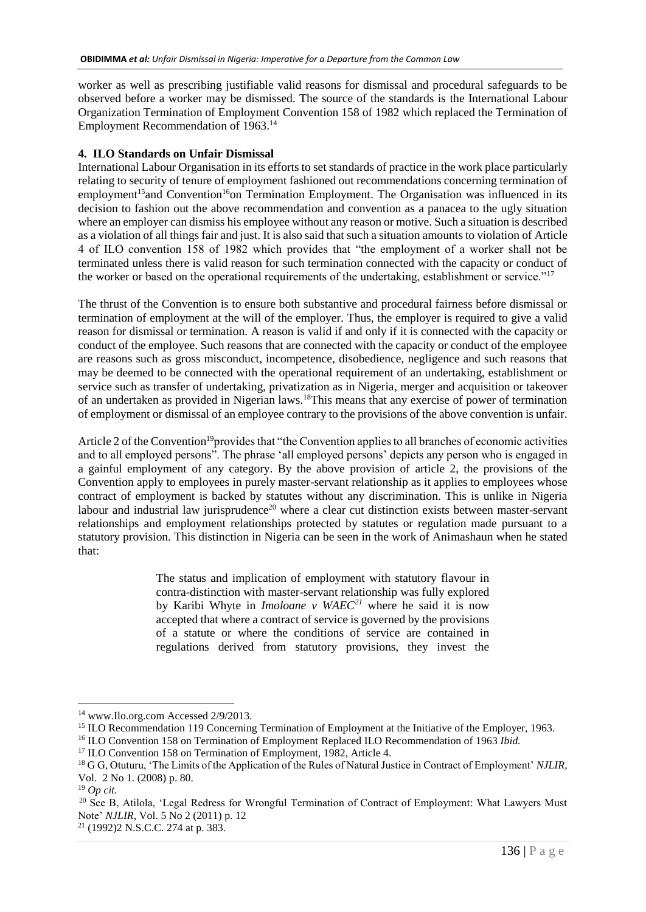worker as well as prescribing justifiable valid reasons for dismissal and procedural safeguards to be observed before a worker may be dismissed. The source of the standards is the International Labour Organization Termination of Employment Convention 158 of 1982 which replaced the Termination of Employment Recommendation of 1963.<sup>14</sup>

# **4. ILO Standards on Unfair Dismissal**

International Labour Organisation in its efforts to set standards of practice in the work place particularly relating to security of tenure of employment fashioned out recommendations concerning termination of employment<sup>15</sup>and Convention<sup>16</sup>on Termination Employment. The Organisation was influenced in its decision to fashion out the above recommendation and convention as a panacea to the ugly situation where an employer can dismiss his employee without any reason or motive. Such a situation is described as a violation of all things fair and just. It is also said that such a situation amounts to violation of Article 4 of ILO convention 158 of 1982 which provides that "the employment of a worker shall not be terminated unless there is valid reason for such termination connected with the capacity or conduct of the worker or based on the operational requirements of the undertaking, establishment or service."<sup>17</sup>

The thrust of the Convention is to ensure both substantive and procedural fairness before dismissal or termination of employment at the will of the employer. Thus, the employer is required to give a valid reason for dismissal or termination. A reason is valid if and only if it is connected with the capacity or conduct of the employee. Such reasons that are connected with the capacity or conduct of the employee are reasons such as gross misconduct, incompetence, disobedience, negligence and such reasons that may be deemed to be connected with the operational requirement of an undertaking, establishment or service such as transfer of undertaking, privatization as in Nigeria, merger and acquisition or takeover of an undertaken as provided in Nigerian laws.<sup>18</sup>This means that any exercise of power of termination of employment or dismissal of an employee contrary to the provisions of the above convention is unfair.

Article 2 of the Convention<sup>19</sup> provides that "the Convention applies to all branches of economic activities and to all employed persons". The phrase 'all employed persons' depicts any person who is engaged in a gainful employment of any category. By the above provision of article 2, the provisions of the Convention apply to employees in purely master-servant relationship as it applies to employees whose contract of employment is backed by statutes without any discrimination. This is unlike in Nigeria labour and industrial law jurisprudence<sup>20</sup> where a clear cut distinction exists between master-servant relationships and employment relationships protected by statutes or regulation made pursuant to a statutory provision. This distinction in Nigeria can be seen in the work of Animashaun when he stated that:

> The status and implication of employment with statutory flavour in contra-distinction with master-servant relationship was fully explored by Karibi Whyte in *Imoloane v WAEC<sup>21</sup>* where he said it is now accepted that where a contract of service is governed by the provisions of a statute or where the conditions of service are contained in regulations derived from statutory provisions, they invest the

<u>.</u>

<sup>&</sup>lt;sup>14</sup> [www.Ilo.org.com](http://www.ilo.org.com/) Accessed 2/9/2013.

<sup>&</sup>lt;sup>15</sup> ILO Recommendation 119 Concerning Termination of Employment at the Initiative of the Employer, 1963.

<sup>16</sup> ILO Convention 158 on Termination of Employment Replaced ILO Recommendation of 1963 *Ibid.*

<sup>&</sup>lt;sup>17</sup> ILO Convention 158 on Termination of Employment, 1982, Article 4.

<sup>18</sup> G G, Otuturu, 'The Limits of the Application of the Rules of Natural Justice in Contract of Employment' *NJLIR,* Vol. 2 No 1. (2008) p. 80.

<sup>19</sup> *Op cit.*

<sup>&</sup>lt;sup>20</sup> See B, Atilola, 'Legal Redress for Wrongful Termination of Contract of Employment: What Lawyers Must Note' *NJLIR*, Vol. 5 No 2 (2011) p. 12

<sup>21</sup> (1992)2 N.S.C.C. 274 at p. 383.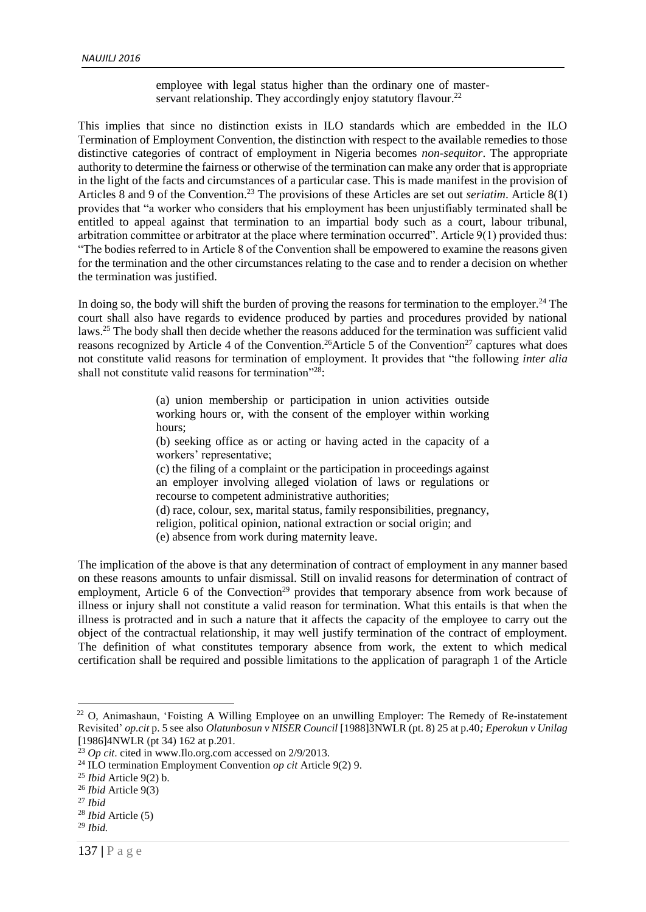employee with legal status higher than the ordinary one of masterservant relationship. They accordingly enjoy statutory flavour.<sup>22</sup>

This implies that since no distinction exists in ILO standards which are embedded in the ILO Termination of Employment Convention, the distinction with respect to the available remedies to those distinctive categories of contract of employment in Nigeria becomes *non-sequitor*. The appropriate authority to determine the fairness or otherwise of the termination can make any order that is appropriate in the light of the facts and circumstances of a particular case. This is made manifest in the provision of Articles 8 and 9 of the Convention.<sup>23</sup> The provisions of these Articles are set out *seriatim*. Article 8(1) provides that "a worker who considers that his employment has been unjustifiably terminated shall be entitled to appeal against that termination to an impartial body such as a court, labour tribunal, arbitration committee or arbitrator at the place where termination occurred". Article 9(1) provided thus: "The bodies referred to in Article 8 of the Convention shall be empowered to examine the reasons given for the termination and the other circumstances relating to the case and to render a decision on whether the termination was justified.

In doing so, the body will shift the burden of proving the reasons for termination to the employer.<sup>24</sup> The court shall also have regards to evidence produced by parties and procedures provided by national laws.<sup>25</sup> The body shall then decide whether the reasons adduced for the termination was sufficient valid reasons recognized by Article 4 of the Convention.<sup>26</sup>Article 5 of the Convention<sup>27</sup> captures what does not constitute valid reasons for termination of employment. It provides that "the following *inter alia* shall not constitute valid reasons for termination"<sup>28</sup>:

> (a) union membership or participation in union activities outside working hours or, with the consent of the employer within working hours;

> (b) seeking office as or acting or having acted in the capacity of a workers' representative;

> (c) the filing of a complaint or the participation in proceedings against an employer involving alleged violation of laws or regulations or recourse to competent administrative authorities;

> (d) race, colour, sex, marital status, family responsibilities, pregnancy, religion, political opinion, national extraction or social origin; and (e) absence from work during maternity leave.

The implication of the above is that any determination of contract of employment in any manner based on these reasons amounts to unfair dismissal. Still on invalid reasons for determination of contract of employment, Article 6 of the Convection<sup>29</sup> provides that temporary absence from work because of illness or injury shall not constitute a valid reason for termination. What this entails is that when the illness is protracted and in such a nature that it affects the capacity of the employee to carry out the object of the contractual relationship, it may well justify termination of the contract of employment. The definition of what constitutes temporary absence from work, the extent to which medical certification shall be required and possible limitations to the application of paragraph 1 of the Article

<u>.</u>

<sup>&</sup>lt;sup>22</sup> O, Animashaun, 'Foisting A Willing Employee on an unwilling Employer: The Remedy of Re-instatement Revisited' *op.cit* p. 5 see also *Olatunbosun v NISER Council* [1988]3NWLR (pt. 8) 25 at p.40*; Eperokun v Unilag*  [1986]4NWLR (pt 34) 162 at p.201*.*

<sup>&</sup>lt;sup>23</sup> *Op cit*. cited in [www.Ilo.org.com](http://www.ilo.org.com/) accessed on 2/9/2013.

<sup>24</sup> ILO termination Employment Convention *op cit* Article 9(2) 9.

<sup>25</sup> *Ibid* Article 9(2) b.

<sup>26</sup> *Ibid* Article 9(3)

<sup>27</sup> *Ibid*

<sup>28</sup> *Ibid* Article (5)

<sup>29</sup> *Ibid.*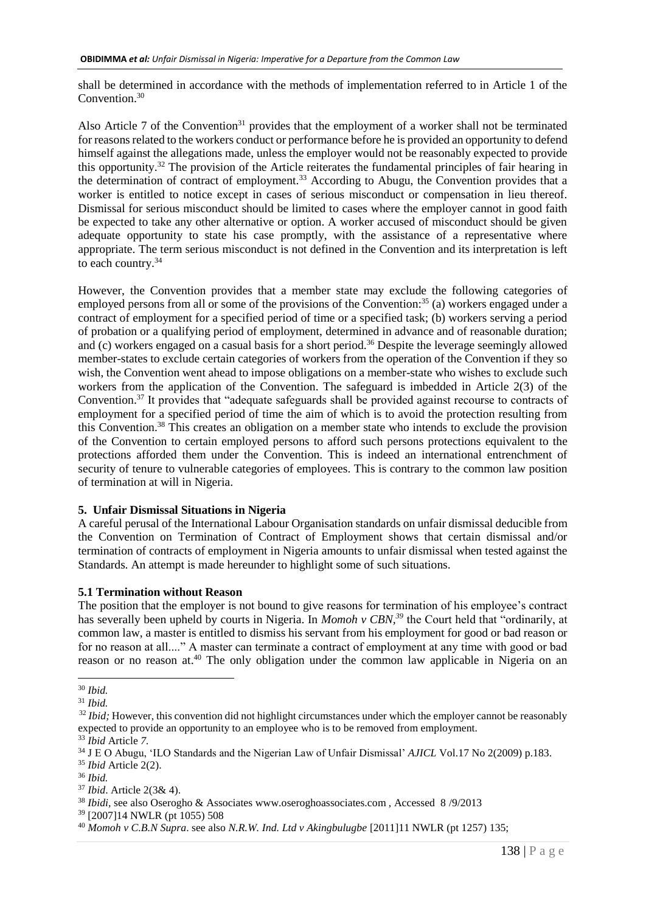shall be determined in accordance with the methods of implementation referred to in Article 1 of the Convention.<sup>30</sup>

Also Article 7 of the Convention<sup>31</sup> provides that the employment of a worker shall not be terminated for reasons related to the workers conduct or performance before he is provided an opportunity to defend himself against the allegations made, unless the employer would not be reasonably expected to provide this opportunity.<sup>32</sup> The provision of the Article reiterates the fundamental principles of fair hearing in the determination of contract of employment.<sup>33</sup> According to Abugu, the Convention provides that a worker is entitled to notice except in cases of serious misconduct or compensation in lieu thereof. Dismissal for serious misconduct should be limited to cases where the employer cannot in good faith be expected to take any other alternative or option. A worker accused of misconduct should be given adequate opportunity to state his case promptly, with the assistance of a representative where appropriate. The term serious misconduct is not defined in the Convention and its interpretation is left to each country.<sup>34</sup>

However, the Convention provides that a member state may exclude the following categories of employed persons from all or some of the provisions of the Convention:<sup>35</sup> (a) workers engaged under a contract of employment for a specified period of time or a specified task; (b) workers serving a period of probation or a qualifying period of employment, determined in advance and of reasonable duration; and (c) workers engaged on a casual basis for a short period.<sup>36</sup> Despite the leverage seemingly allowed member-states to exclude certain categories of workers from the operation of the Convention if they so wish, the Convention went ahead to impose obligations on a member-state who wishes to exclude such workers from the application of the Convention. The safeguard is imbedded in Article 2(3) of the Convention.<sup>37</sup> It provides that "adequate safeguards shall be provided against recourse to contracts of employment for a specified period of time the aim of which is to avoid the protection resulting from this Convention.<sup>38</sup> This creates an obligation on a member state who intends to exclude the provision of the Convention to certain employed persons to afford such persons protections equivalent to the protections afforded them under the Convention. This is indeed an international entrenchment of security of tenure to vulnerable categories of employees. This is contrary to the common law position of termination at will in Nigeria.

### **5. Unfair Dismissal Situations in Nigeria**

A careful perusal of the International Labour Organisation standards on unfair dismissal deducible from the Convention on Termination of Contract of Employment shows that certain dismissal and/or termination of contracts of employment in Nigeria amounts to unfair dismissal when tested against the Standards. An attempt is made hereunder to highlight some of such situations.

### **5.1 Termination without Reason**

The position that the employer is not bound to give reasons for termination of his employee's contract has severally been upheld by courts in Nigeria. In *Momoh v CBN,<sup>39</sup>* the Court held that "ordinarily, at common law, a master is entitled to dismiss his servant from his employment for good or bad reason or for no reason at all...." A master can terminate a contract of employment at any time with good or bad reason or no reason at.<sup>40</sup> The only obligation under the common law applicable in Nigeria on an

<sup>1</sup> <sup>30</sup> *Ibid.*

<sup>31</sup> *Ibid.*

<sup>&</sup>lt;sup>32</sup> *Ibid*; However, this convention did not highlight circumstances under which the employer cannot be reasonably expected to provide an opportunity to an employee who is to be removed from employment.

<sup>33</sup> *Ibid* Article *7.*

<sup>34</sup> J E O Abugu, 'ILO Standards and the Nigerian Law of Unfair Dismissal' *AJICL* Vol.17 No 2(2009) p.183.

<sup>35</sup> *Ibid* Article 2(2).

<sup>36</sup> *Ibid.*

<sup>37</sup> *Ibid*. Article 2(3& 4).

<sup>&</sup>lt;sup>38</sup> *Ibidi*, see also Oserogho & Associates www.oseroghoassociates.com, Accessed 8/9/2013

<sup>39</sup> [2007]14 NWLR (pt 1055) 508

<sup>40</sup> *Momoh v C.B.N Supra*. see also *N.R.W. Ind. Ltd v Akingbulugbe* [2011]11 NWLR (pt 1257) 135;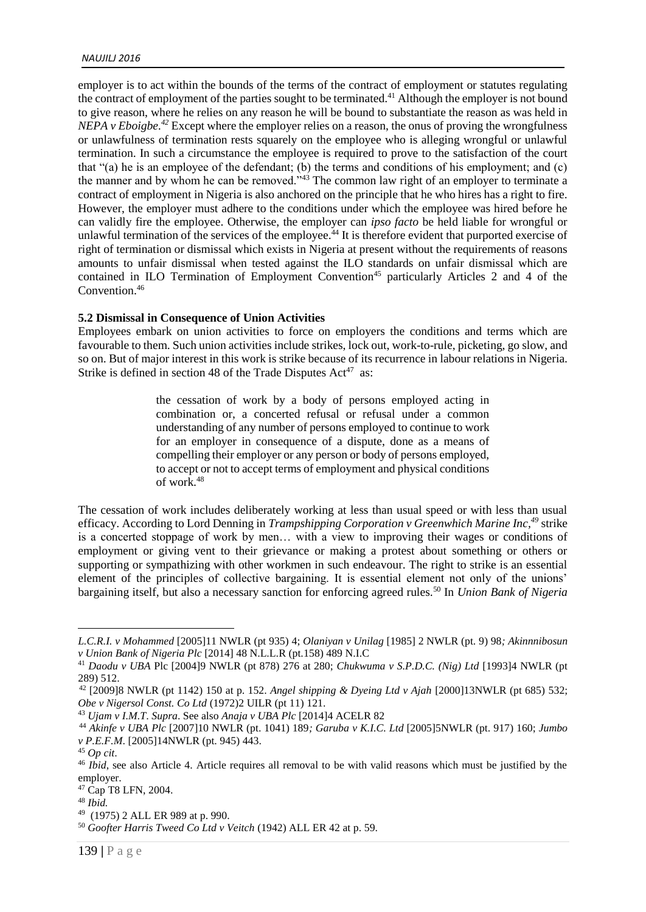employer is to act within the bounds of the terms of the contract of employment or statutes regulating the contract of employment of the parties sought to be terminated.<sup>41</sup> Although the employer is not bound to give reason, where he relies on any reason he will be bound to substantiate the reason as was held in *NEPA v Eboigbe.<sup>42</sup>* Except where the employer relies on a reason, the onus of proving the wrongfulness or unlawfulness of termination rests squarely on the employee who is alleging wrongful or unlawful termination. In such a circumstance the employee is required to prove to the satisfaction of the court that "(a) he is an employee of the defendant; (b) the terms and conditions of his employment; and (c) the manner and by whom he can be removed."<sup>43</sup> The common law right of an employer to terminate a contract of employment in Nigeria is also anchored on the principle that he who hires has a right to fire. However, the employer must adhere to the conditions under which the employee was hired before he can validly fire the employee. Otherwise, the employer can *ipso facto* be held liable for wrongful or unlawful termination of the services of the employee.<sup>44</sup> It is therefore evident that purported exercise of right of termination or dismissal which exists in Nigeria at present without the requirements of reasons amounts to unfair dismissal when tested against the ILO standards on unfair dismissal which are contained in ILO Termination of Employment Convention<sup>45</sup> particularly Articles 2 and 4 of the Convention.<sup>46</sup>

### **5.2 Dismissal in Consequence of Union Activities**

Employees embark on union activities to force on employers the conditions and terms which are favourable to them. Such union activities include strikes, lock out, work-to-rule, picketing, go slow, and so on. But of major interest in this work is strike because of its recurrence in labour relations in Nigeria. Strike is defined in section 48 of the Trade Disputes Act<sup>47</sup> as:

> the cessation of work by a body of persons employed acting in combination or, a concerted refusal or refusal under a common understanding of any number of persons employed to continue to work for an employer in consequence of a dispute, done as a means of compelling their employer or any person or body of persons employed, to accept or not to accept terms of employment and physical conditions of work.<sup>48</sup>

The cessation of work includes deliberately working at less than usual speed or with less than usual efficacy. According to Lord Denning in *Trampshipping Corporation v Greenwhich Marine Inc,<sup>49</sup>* strike is a concerted stoppage of work by men… with a view to improving their wages or conditions of employment or giving vent to their grievance or making a protest about something or others or supporting or sympathizing with other workmen in such endeavour. The right to strike is an essential element of the principles of collective bargaining. It is essential element not only of the unions' bargaining itself, but also a necessary sanction for enforcing agreed rules.<sup>50</sup> In *Union Bank of Nigeria* 

*L.C.R.I. v Mohammed* [2005]11 NWLR (pt 935) 4; *Olaniyan v Unilag* [1985] 2 NWLR (pt. 9) 98*; Akinnnibosun v Union Bank of Nigeria Plc* [2014] 48 N.L.L.R (pt.158) 489 N.I.C

<sup>41</sup> *Daodu v UBA* Plc [2004]9 NWLR (pt 878) 276 at 280; *Chukwuma v S.P.D.C. (Nig) Ltd* [1993]4 NWLR (pt 289) 512.

<sup>42</sup> [2009]8 NWLR (pt 1142) 150 at p. 152. *Angel shipping & Dyeing Ltd v Ajah* [2000]13NWLR (pt 685) 532; *Obe v Nigersol Const. Co Ltd* (1972)2 UILR (pt 11) 121.

<sup>43</sup> *Ujam v I.M.T*. *Supra*. See also *Anaja v UBA Plc* [2014]4 ACELR 82

<sup>44</sup> *Akinfe v UBA Plc* [2007]10 NWLR (pt. 1041) 189*; Garuba v K.I.C. Ltd* [2005]5NWLR (pt. 917) 160; *Jumbo v P.E.F.M*. [2005]14NWLR (pt. 945) 443.

<sup>45</sup> *Op cit*.

<sup>&</sup>lt;sup>46</sup> *Ibid*, see also Article 4. Article requires all removal to be with valid reasons which must be justified by the employer.

<sup>47</sup> Cap T8 LFN, 2004.

<sup>48</sup> *Ibid.*

<sup>49</sup> (1975) 2 ALL ER 989 at p. 990.

<sup>50</sup> *Goofter Harris Tweed Co Ltd v Veitch* (1942) ALL ER 42 at p. 59.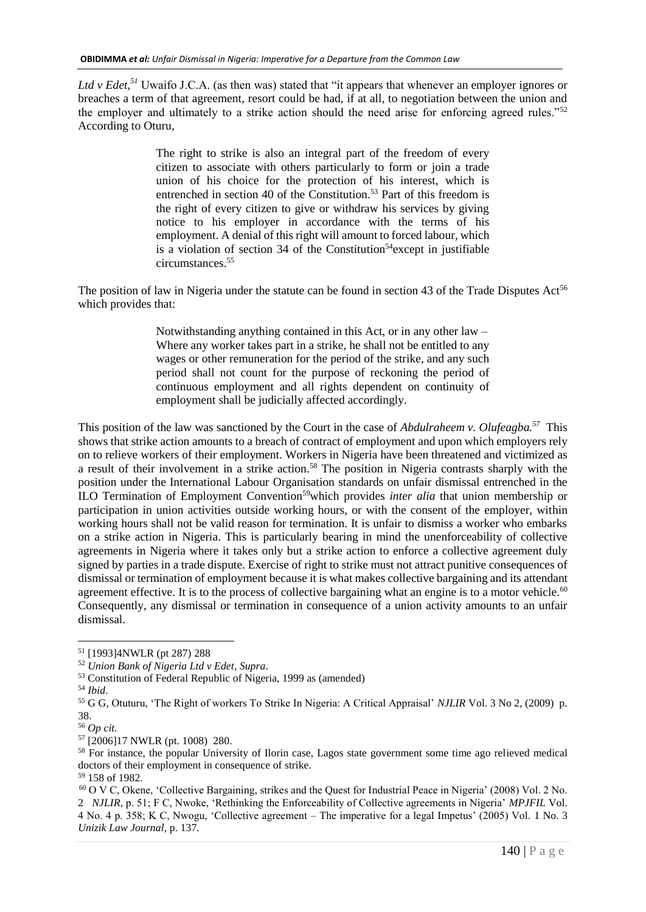*Ltd v Edet*,<sup>51</sup> Uwaifo J.C.A. (as then was) stated that "it appears that whenever an employer ignores or breaches a term of that agreement, resort could be had, if at all, to negotiation between the union and the employer and ultimately to a strike action should the need arise for enforcing agreed rules."<sup>52</sup> According to Oturu*,*

> The right to strike is also an integral part of the freedom of every citizen to associate with others particularly to form or join a trade union of his choice for the protection of his interest, which is entrenched in section 40 of the Constitution.<sup>53</sup> Part of this freedom is the right of every citizen to give or withdraw his services by giving notice to his employer in accordance with the terms of his employment. A denial of this right will amount to forced labour, which is a violation of section  $34$  of the Constitution<sup>54</sup> except in justifiable circumstances.<sup>55</sup>

The position of law in Nigeria under the statute can be found in section 43 of the Trade Disputes Act<sup>56</sup> which provides that:

> Notwithstanding anything contained in this Act, or in any other law – Where any worker takes part in a strike, he shall not be entitled to any wages or other remuneration for the period of the strike, and any such period shall not count for the purpose of reckoning the period of continuous employment and all rights dependent on continuity of employment shall be judicially affected accordingly.

This position of the law was sanctioned by the Court in the case of *Abdulraheem v. Olufeagba.<sup>57</sup>* This shows that strike action amounts to a breach of contract of employment and upon which employers rely on to relieve workers of their employment. Workers in Nigeria have been threatened and victimized as a result of their involvement in a strike action.<sup>58</sup> The position in Nigeria contrasts sharply with the position under the International Labour Organisation standards on unfair dismissal entrenched in the ILO Termination of Employment Convention<sup>59</sup>which provides *inter alia* that union membership or participation in union activities outside working hours, or with the consent of the employer, within working hours shall not be valid reason for termination. It is unfair to dismiss a worker who embarks on a strike action in Nigeria. This is particularly bearing in mind the unenforceability of collective agreements in Nigeria where it takes only but a strike action to enforce a collective agreement duly signed by parties in a trade dispute. Exercise of right to strike must not attract punitive consequences of dismissal or termination of employment because it is what makes collective bargaining and its attendant agreement effective. It is to the process of collective bargaining what an engine is to a motor vehicle.<sup>60</sup> Consequently, any dismissal or termination in consequence of a union activity amounts to an unfair dismissal.

<sup>51</sup> [1993]4NWLR (pt 287) 288

<sup>52</sup> *Union Bank of Nigeria Ltd v Edet*, *Supra*.

<sup>53</sup> Constitution of Federal Republic of Nigeria, 1999 as (amended)

<sup>54</sup> *Ibid*.

<sup>55</sup> G G, Otuturu, 'The Right of workers To Strike In Nigeria: A Critical Appraisal' *NJLIR* Vol. 3 No 2, (2009) p. 38.

<sup>56</sup> *Op cit.*

<sup>57</sup> [2006]17 NWLR (pt. 1008) 280.

<sup>&</sup>lt;sup>58</sup> For instance, the popular University of Ilorin case, Lagos state government some time ago relieved medical doctors of their employment in consequence of strike.

<sup>59</sup> 158 of 1982.

<sup>60</sup> O V C, Okene, 'Collective Bargaining, strikes and the Quest for Industrial Peace in Nigeria' (2008) Vol. 2 No. 2 *NJLIR*, p. 51; F C, Nwoke, 'Rethinking the Enforceability of Collective agreements in Nigeria' *MPJFIL* Vol. 4 No. 4 p. 358; K C, Nwogu, 'Collective agreement – The imperative for a legal Impetus' (2005) Vol. 1 No. 3 *Unizik Law Journal*, p. 137.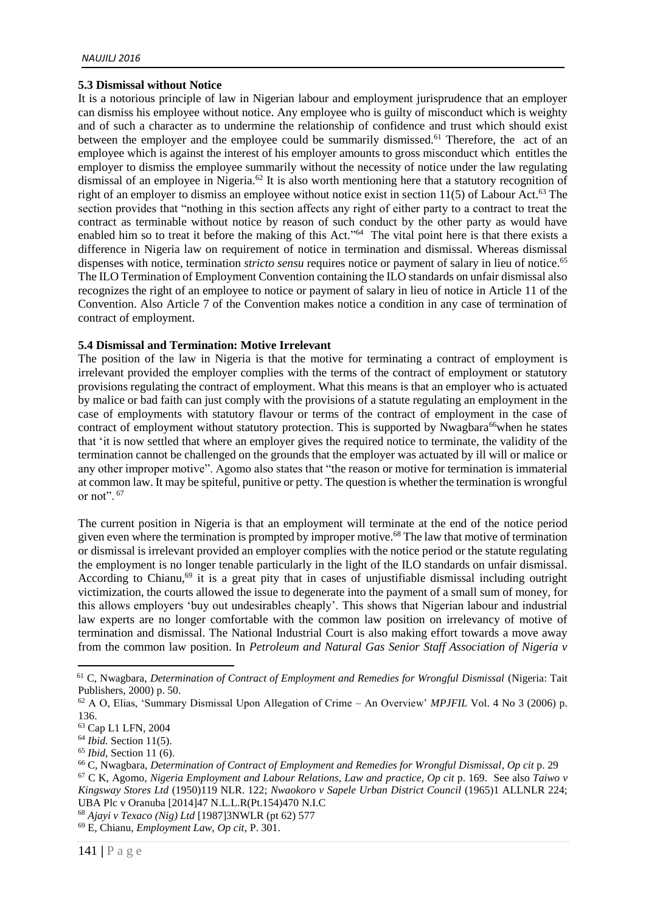### **5.3 Dismissal without Notice**

It is a notorious principle of law in Nigerian labour and employment jurisprudence that an employer can dismiss his employee without notice. Any employee who is guilty of misconduct which is weighty and of such a character as to undermine the relationship of confidence and trust which should exist between the employer and the employee could be summarily dismissed.<sup>61</sup> Therefore, the act of an employee which is against the interest of his employer amounts to gross misconduct which entitles the employer to dismiss the employee summarily without the necessity of notice under the law regulating dismissal of an employee in Nigeria.<sup>62</sup> It is also worth mentioning here that a statutory recognition of right of an employer to dismiss an employee without notice exist in section  $11(5)$  of Labour Act.<sup>63</sup> The section provides that "nothing in this section affects any right of either party to a contract to treat the contract as terminable without notice by reason of such conduct by the other party as would have enabled him so to treat it before the making of this Act."<sup>64</sup> The vital point here is that there exists a difference in Nigeria law on requirement of notice in termination and dismissal. Whereas dismissal dispenses with notice, termination *stricto sensu* requires notice or payment of salary in lieu of notice.<sup>65</sup> The ILO Termination of Employment Convention containing the ILO standards on unfair dismissal also recognizes the right of an employee to notice or payment of salary in lieu of notice in Article 11 of the Convention. Also Article 7 of the Convention makes notice a condition in any case of termination of contract of employment.

## **5.4 Dismissal and Termination: Motive Irrelevant**

The position of the law in Nigeria is that the motive for terminating a contract of employment is irrelevant provided the employer complies with the terms of the contract of employment or statutory provisions regulating the contract of employment. What this means is that an employer who is actuated by malice or bad faith can just comply with the provisions of a statute regulating an employment in the case of employments with statutory flavour or terms of the contract of employment in the case of contract of employment without statutory protection. This is supported by Nwagbara<sup>66</sup>when he states that 'it is now settled that where an employer gives the required notice to terminate, the validity of the termination cannot be challenged on the grounds that the employer was actuated by ill will or malice or any other improper motive". Agomo also states that "the reason or motive for termination is immaterial at common law. It may be spiteful, punitive or petty. The question is whether the termination is wrongful or not". <sup>67</sup>

The current position in Nigeria is that an employment will terminate at the end of the notice period given even where the termination is prompted by improper motive.<sup>68</sup> The law that motive of termination or dismissal is irrelevant provided an employer complies with the notice period or the statute regulating the employment is no longer tenable particularly in the light of the ILO standards on unfair dismissal. According to Chianu,<sup>69</sup> it is a great pity that in cases of unjustifiable dismissal including outright victimization, the courts allowed the issue to degenerate into the payment of a small sum of money, for this allows employers 'buy out undesirables cheaply'. This shows that Nigerian labour and industrial law experts are no longer comfortable with the common law position on irrelevancy of motive of termination and dismissal. The National Industrial Court is also making effort towards a move away from the common law position. In *Petroleum and Natural Gas Senior Staff Association of Nigeria v* 

<sup>61</sup> C, Nwagbara, *Determination of Contract of Employment and Remedies for Wrongful Dismissal* (Nigeria: Tait Publishers, 2000) p. 50.

<sup>62</sup> A O, Elias, 'Summary Dismissal Upon Allegation of Crime – An Overview' *MPJFIL* Vol. 4 No 3 (2006) p. 136.

<sup>63</sup> Cap L1 LFN, 2004

<sup>64</sup> *Ibid.* Section 11(5).

<sup>65</sup> *Ibid,* Section 11 (6).

<sup>66</sup> C, Nwagbara, *Determination of Contract of Employment and Remedies for Wrongful Dismissal*, *Op cit* p. 29 <sup>67</sup> C K, Agomo, *Nigeria Employment and Labour Relations, Law and practice, Op cit* p. 169.See also *Taiwo v Kingsway Stores Ltd* (1950)119 NLR. 122; *Nwaokoro v Sapele Urban District Council* (1965)1 ALLNLR 224; UBA Plc v Oranuba [2014]47 N.L.L.R(Pt.154)470 N.I.C

<sup>68</sup> *Ajayi v Texaco (Nig) Ltd* [1987]3NWLR (pt 62) 577

<sup>69</sup> E, Chianu, *Employment Law, Op cit*, P. 301.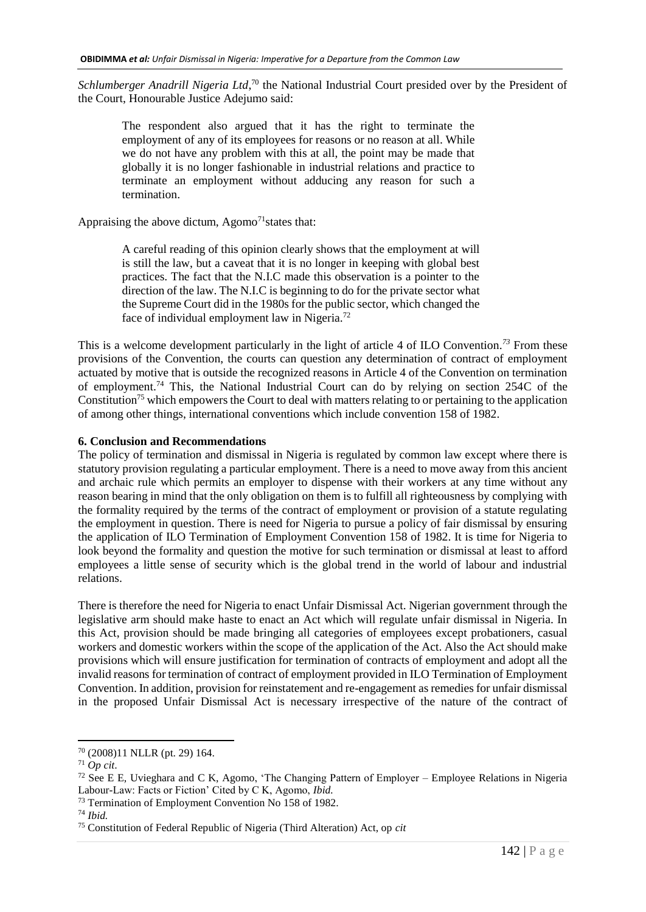Schlumberger Anadrill Nigeria Ltd,<sup>70</sup> the National Industrial Court presided over by the President of the Court, Honourable Justice Adejumo said:

The respondent also argued that it has the right to terminate the employment of any of its employees for reasons or no reason at all. While we do not have any problem with this at all, the point may be made that globally it is no longer fashionable in industrial relations and practice to terminate an employment without adducing any reason for such a termination.

Appraising the above dictum,  $A<sub>gomo</sub><sup>71</sup>$  states that:

A careful reading of this opinion clearly shows that the employment at will is still the law, but a caveat that it is no longer in keeping with global best practices. The fact that the N.I.C made this observation is a pointer to the direction of the law. The N.I.C is beginning to do for the private sector what the Supreme Court did in the 1980s for the public sector, which changed the face of individual employment law in Nigeria.<sup>72</sup>

This is a welcome development particularly in the light of article 4 of ILO Convention*. <sup>73</sup>* From these provisions of the Convention, the courts can question any determination of contract of employment actuated by motive that is outside the recognized reasons in Article 4 of the Convention on termination of employment.<sup>74</sup> This, the National Industrial Court can do by relying on section 254C of the Constitution<sup>75</sup> which empowers the Court to deal with matters relating to or pertaining to the application of among other things, international conventions which include convention 158 of 1982.

#### **6. Conclusion and Recommendations**

The policy of termination and dismissal in Nigeria is regulated by common law except where there is statutory provision regulating a particular employment. There is a need to move away from this ancient and archaic rule which permits an employer to dispense with their workers at any time without any reason bearing in mind that the only obligation on them is to fulfill all righteousness by complying with the formality required by the terms of the contract of employment or provision of a statute regulating the employment in question. There is need for Nigeria to pursue a policy of fair dismissal by ensuring the application of ILO Termination of Employment Convention 158 of 1982. It is time for Nigeria to look beyond the formality and question the motive for such termination or dismissal at least to afford employees a little sense of security which is the global trend in the world of labour and industrial relations.

There is therefore the need for Nigeria to enact Unfair Dismissal Act. Nigerian government through the legislative arm should make haste to enact an Act which will regulate unfair dismissal in Nigeria. In this Act, provision should be made bringing all categories of employees except probationers, casual workers and domestic workers within the scope of the application of the Act. Also the Act should make provisions which will ensure justification for termination of contracts of employment and adopt all the invalid reasons for termination of contract of employment provided in ILO Termination of Employment Convention. In addition, provision for reinstatement and re-engagement as remedies for unfair dismissal in the proposed Unfair Dismissal Act is necessary irrespective of the nature of the contract of

<sup>70</sup> (2008)11 NLLR (pt. 29) 164.

<sup>71</sup> *Op cit*.

<sup>72</sup> See E E, Uvieghara and C K, Agomo, 'The Changing Pattern of Employer – Employee Relations in Nigeria Labour-Law: Facts or Fiction' Cited by C K, Agomo, *Ibid.*

<sup>73</sup> Termination of Employment Convention No 158 of 1982.

<sup>74</sup> *Ibid.*

<sup>75</sup> Constitution of Federal Republic of Nigeria (Third Alteration) Act, op *cit*